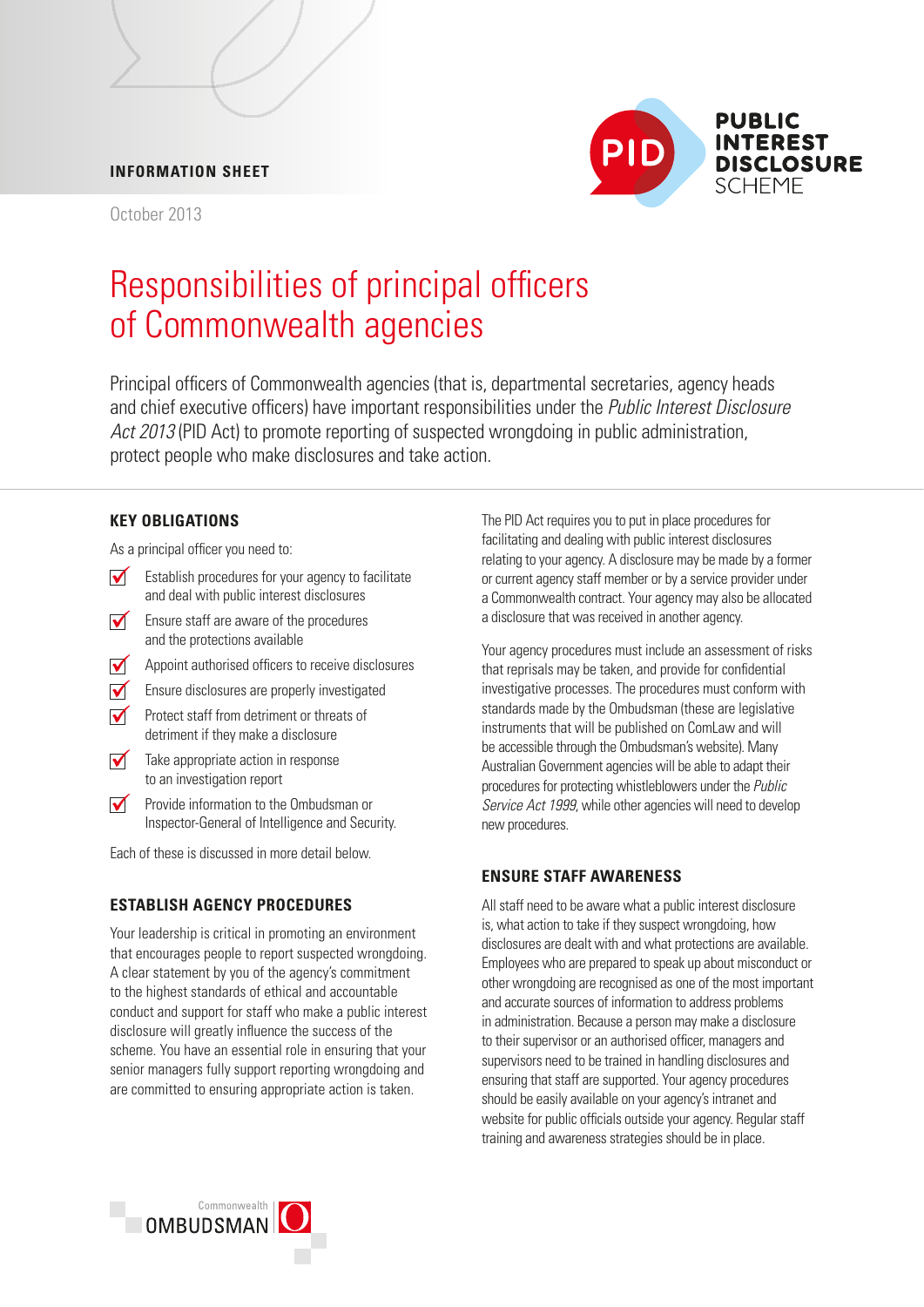## **INFORMATION SHEET**

October 2013



# Responsibilities of principal officers of Commonwealth agencies

Principal officers of Commonwealth agencies (that is, departmental secretaries, agency heads and chief executive officers) have important responsibilities under the *Public Interest Disclosure Act 2013* (PID Act) to promote reporting of suspected wrongdoing in public administration, protect people who make disclosures and take action.

#### **KEY OBLIGATIONS**

As a principal officer you need to:

- $\triangledown$  Establish procedures for your agency to facilitate and deal with public interest disclosures
- Ensure staff are aware of the procedures and the protections available
- Appoint authorised officers to receive disclosures  $\sqrt{ }$
- $\sqrt{\phantom{a}}$  Ensure disclosures are properly investigated
- Protect staff from detriment or threats of detriment if they make a disclosure
- $\sqrt{\phantom{a}}$  Take appropriate action in response to an investigation report
- $\sqrt{}$ Provide information to the Ombudsman or Inspector-General of Intelligence and Security.

Each of these is discussed in more detail below.

#### **ESTABLISH AGENCY PROCEDURES**

Your leadership is critical in promoting an environment that encourages people to report suspected wrongdoing. A clear statement by you of the agency's commitment to the highest standards of ethical and accountable conduct and support for staff who make a public interest disclosure will greatly influence the success of the scheme. You have an essential role in ensuring that your senior managers fully support reporting wrongdoing and are committed to ensuring appropriate action is taken.

The PID Act requires you to put in place procedures for facilitating and dealing with public interest disclosures relating to your agency. A disclosure may be made by a former or current agency staff member or by a service provider under a Commonwealth contract. Your agency may also be allocated a disclosure that was received in another agency.

 that reprisals may be taken, and provide for confidential Your agency procedures must include an assessment of risks investigative processes. The procedures must conform with standards made by the Ombudsman (these are legislative instruments that will be published on ComLaw and will be accessible through the Ombudsman's website). Many Australian Government agencies will be able to adapt their procedures for protecting whistleblowers under the *Public Service Act 1999*, while other agencies will need to develop new procedures.

## **ENSURE STAFF AWARENESS**

All staff need to be aware what a public interest disclosure is, what action to take if they suspect wrongdoing, how disclosures are dealt with and what protections are available. Employees who are prepared to speak up about misconduct or other wrongdoing are recognised as one of the most important and accurate sources of information to address problems in administration. Because a person may make a disclosure to their supervisor or an authorised officer, managers and supervisors need to be trained in handling disclosures and ensuring that staff are supported. Your agency procedures should be easily available on your agency's intranet and website for public officials outside your agency. Regular staff training and awareness strategies should be in place.